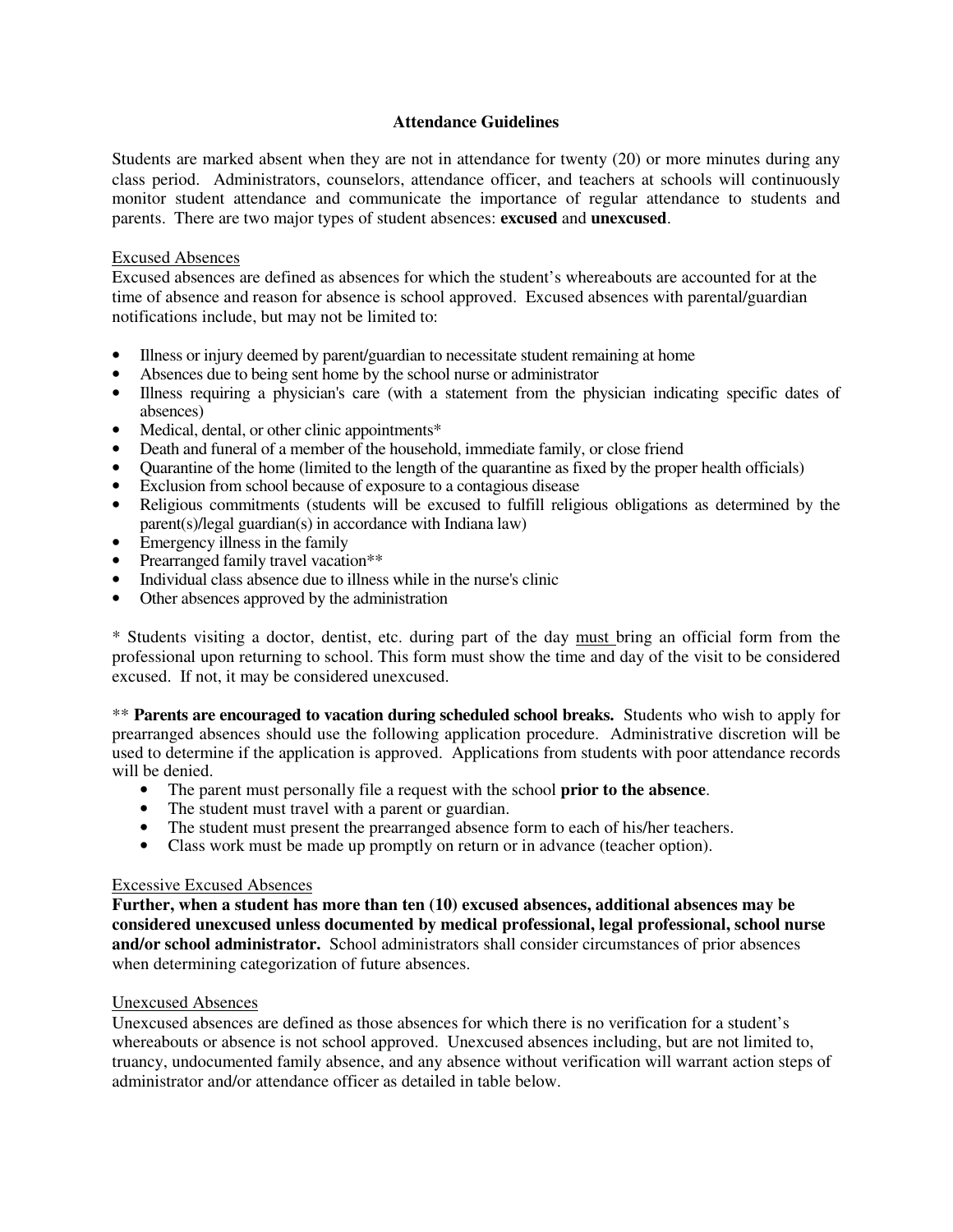## **Attendance Guidelines**

Students are marked absent when they are not in attendance for twenty (20) or more minutes during any class period. Administrators, counselors, attendance officer, and teachers at schools will continuously monitor student attendance and communicate the importance of regular attendance to students and parents. There are two major types of student absences: **excused** and **unexcused**.

## Excused Absences

Excused absences are defined as absences for which the student's whereabouts are accounted for at the time of absence and reason for absence is school approved. Excused absences with parental/guardian notifications include, but may not be limited to:

- Illness or injury deemed by parent/guardian to necessitate student remaining at home
- Absences due to being sent home by the school nurse or administrator
- Illness requiring a physician's care (with a statement from the physician indicating specific dates of absences)
- Medical, dental, or other clinic appointments\*
- Death and funeral of a member of the household, immediate family, or close friend
- Quarantine of the home (limited to the length of the quarantine as fixed by the proper health officials)
- Exclusion from school because of exposure to a contagious disease
- Religious commitments (students will be excused to fulfill religious obligations as determined by the parent(s)/legal guardian(s) in accordance with Indiana law)
- Emergency illness in the family
- Prearranged family travel vacation\*\*
- Individual class absence due to illness while in the nurse's clinic
- Other absences approved by the administration

\* Students visiting a doctor, dentist, etc. during part of the day must bring an official form from the professional upon returning to school. This form must show the time and day of the visit to be considered excused. If not, it may be considered unexcused.

\*\* **Parents are encouraged to vacation during scheduled school breaks.** Students who wish to apply for prearranged absences should use the following application procedure. Administrative discretion will be used to determine if the application is approved. Applications from students with poor attendance records will be denied.

- The parent must personally file a request with the school **prior to the absence**.
- The student must travel with a parent or guardian.
- The student must present the prearranged absence form to each of his/her teachers.
- Class work must be made up promptly on return or in advance (teacher option).

#### Excessive Excused Absences

**Further, when a student has more than ten (10) excused absences, additional absences may be considered unexcused unless documented by medical professional, legal professional, school nurse and/or school administrator.** School administrators shall consider circumstances of prior absences when determining categorization of future absences.

#### Unexcused Absences

Unexcused absences are defined as those absences for which there is no verification for a student's whereabouts or absence is not school approved. Unexcused absences including, but are not limited to, truancy, undocumented family absence, and any absence without verification will warrant action steps of administrator and/or attendance officer as detailed in table below.